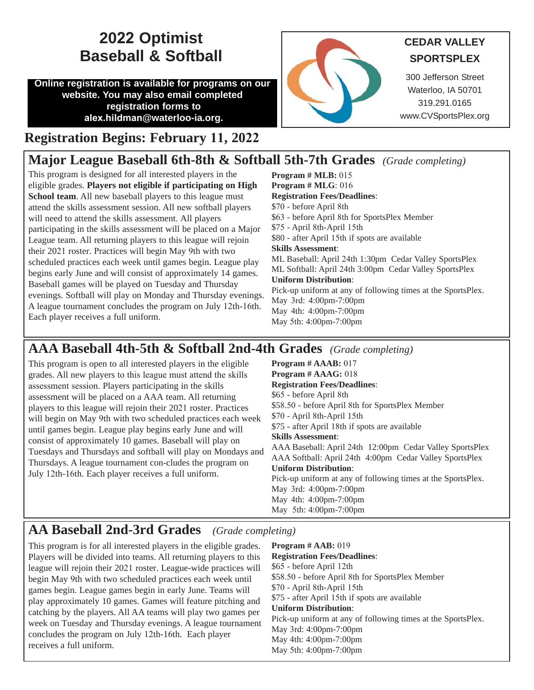## **2022 Optimist CEDAR VALLEY Baseball & Softball**

**Online registration is available for programs on our website. You may also email completed registration forms to alex.hildman@waterloo-ia.org.** 



# **SPORTSPLEX**

300 Jefferson Street Waterloo, IA 50701 319.291.0165 www.CVSportsPlex.org

#### **Registration Begins: February 11, 2022**

#### **Major League Baseball 6th-8th & Softball 5th-7th Grades** *(Grade completing)*

This program is designed for all interested players in the eligible grades. **Players not eligible if participating on High School team**. All new baseball players to this league must attend the skills assessment session. All new softball players will need to attend the skills assessment. All players participating in the skills assessment will be placed on a Major League team. All returning players to this league will rejoin their 2021 roster. Practices will begin May 9th with two scheduled practices each week until games begin. League play begins early June and will consist of approximately 14 games. Baseball games will be played on Tuesday and Thursday evenings. Softball will play on Monday and Thursday evenings. A league tournament concludes the program on July 12th-16th. Each player receives a full uniform.

**Program # MLB:** 015 **Program # MLG**: 016 **Registration Fees/Deadlines**: \$70 - before April 8th \$63 - before April 8th for SportsPlex Member \$75 - April 8th-April 15th \$80 - after April 15th if spots are available **Skills Assessment**: ML Baseball: April 24th 1:30pm Cedar Valley SportsPlex ML Softball: April 24th 3:00pm Cedar Valley SportsPlex **Uniform Distribution**: Pick-up uniform at any of following times at the SportsPlex. May 3rd: 4:00pm-7:00pm May 4th: 4:00pm-7:00pm May 5th: 4:00pm-7:00pm

### **AAA Baseball 4th-5th & Softball 2nd-4th Grades** *(Grade completing)*

This program is open to all interested players in the eligible grades. All new players to this league must attend the skills assessment session. Players participating in the skills assessment will be placed on a AAA team. All returning players to this league will rejoin their 2021 roster. Practices will begin on May 9th with two scheduled practices each week until games begin. League play begins early June and will consist of approximately 10 games. Baseball will play on Tuesdays and Thursdays and softball will play on Mondays and Thursdays. A league tournament con-cludes the program on July 12th-16th. Each player receives a full uniform.

**Program # AAAB:** 017 **Program # AAAG:** 018 **Registration Fees/Deadlines**: \$65 - before April 8th \$58.50 - before April 8th for SportsPlex Member \$70 - April 8th-April 15th \$75 - after April 18th if spots are available **Skills Assessment**: AAA Baseball: April 24th 12:00pm Cedar Valley SportsPlex AAA Softball: April 24th 4:00pm Cedar Valley SportsPlex **Uniform Distribution**: Pick-up uniform at any of following times at the SportsPlex. May 3rd: 4:00pm-7:00pm May 4th: 4:00pm-7:00pm May 5th: 4:00pm-7:00pm

#### **AA Baseball 2nd-3rd Grades** *(Grade completing)*

This program is for all interested players in the eligible grades. Players will be divided into teams. All returning players to this league will rejoin their 2021 roster. League-wide practices will begin May 9th with two scheduled practices each week until games begin. League games begin in early June. Teams will play approximately 10 games. Games will feature pitching and catching by the players. All AA teams will play two games per week on Tuesday and Thursday evenings. A league tournament concludes the program on July 12th-16th. Each player receives a full uniform.

**Program # AAB:** 019 **Registration Fees/Deadlines**: \$65 - before April 12th \$58.50 - before April 8th for SportsPlex Member \$70 - April 8th-April 15th \$75 - after April 15th if spots are available **Uniform Distribution**: Pick-up uniform at any of following times at the SportsPlex. May 3rd: 4:00pm-7:00pm May 4th: 4:00pm-7:00pm May 5th: 4:00pm-7:00pm